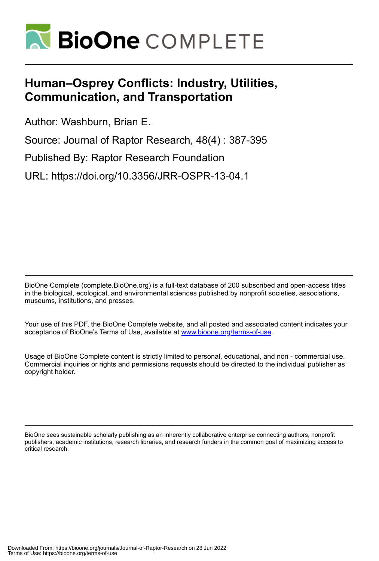

# **Human–Osprey Conflicts: Industry, Utilities, Communication, and Transportation**

Author: Washburn, Brian E.

Source: Journal of Raptor Research, 48(4) : 387-395

Published By: Raptor Research Foundation

URL: https://doi.org/10.3356/JRR-OSPR-13-04.1

BioOne Complete (complete.BioOne.org) is a full-text database of 200 subscribed and open-access titles in the biological, ecological, and environmental sciences published by nonprofit societies, associations, museums, institutions, and presses.

Your use of this PDF, the BioOne Complete website, and all posted and associated content indicates your acceptance of BioOne's Terms of Use, available at www.bioone.org/terms-of-use.

Usage of BioOne Complete content is strictly limited to personal, educational, and non - commercial use. Commercial inquiries or rights and permissions requests should be directed to the individual publisher as copyright holder.

BioOne sees sustainable scholarly publishing as an inherently collaborative enterprise connecting authors, nonprofit publishers, academic institutions, research libraries, and research funders in the common goal of maximizing access to critical research.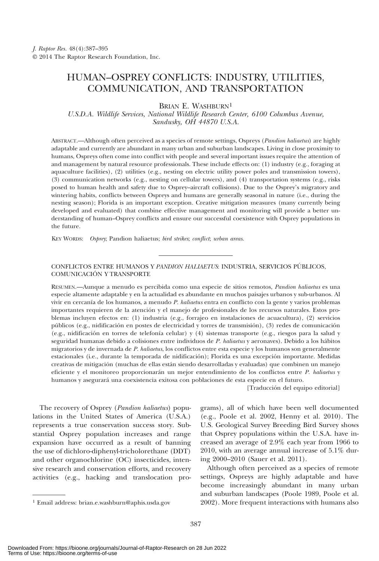# HUMAN–OSPREY CONFLICTS: INDUSTRY, UTILITIES, COMMUNICATION, AND TRANSPORTATION

BRIAN E. WASHBURN<sup>1</sup>

U.S.D.A. Wildlife Services, National Wildlife Research Center, 6100 Columbus Avenue, Sandusky, OH 44870 U.S.A.

ABSTRACT.—Although often perceived as a species of remote settings, Ospreys (Pandion haliaetus) are highly adaptable and currently are abundant in many urban and suburban landscapes. Living in close proximity to humans, Ospreys often come into conflict with people and several important issues require the attention of and management by natural resource professionals. These include effects on: (1) industry (e.g., foraging at aquaculture facilities), (2) utilities (e.g., nesting on electric utility power poles and transmission towers), (3) communication networks (e.g., nesting on cellular towers), and (4) transportation systems (e.g., risks posed to human health and safety due to Osprey–aircraft collisions). Due to the Osprey's migratory and wintering habits, conflicts between Ospreys and humans are generally seasonal in nature (i.e., during the nesting season); Florida is an important exception. Creative mitigation measures (many currently being developed and evaluated) that combine effective management and monitoring will provide a better understanding of human–Osprey conflicts and ensure our successful coexistence with Osprey populations in the future.

KEY WORDS: Osprey; Pandion haliaetus; bird strikes; conflict; urban areas.

### CONFLICTOS ENTRE HUMANOS Y PANDION HALIAETUS: INDUSTRIA, SERVICIOS PÚBLICOS, COMUNICACIÓN Y TRANSPORTE

RESUMEN.—Aunque a menudo es percibida como una especie de sitios remotos, Pandion haliaetus es una especie altamente adaptable y en la actualidad es abundante en muchos paisajes urbanos y sub-urbanos. Al vivir en cercanía de los humanos, a menudo P. haliaetus entra en conflicto con la gente y varios problemas importantes requieren de la atención y el manejo de profesionales de los recursos naturales. Estos problemas incluyen efectos en: (1) industria (e.g., forrajeo en instalaciones de acuacultura), (2) servicios públicos (e.g., nidificación en postes de electricidad y torres de transmisión), (3) redes de comunicación (e.g., nidificacio´n en torres de telefonı´a celular) y (4) sistemas transporte (e.g., riesgos para la salud y seguridad humanas debido a colisiones entre individuos de P. haliaetus y aeronaves). Debido a los hábitos migratorios y de invernada de P. haliaetus, los conflictos entre esta especie y los humanos son generalmente estacionales (i.e., durante la temporada de nidificación); Florida es una excepción importante. Medidas creativas de mitigación (muchas de ellas están siendo desarrolladas y evaluadas) que combinen un manejo eficiente y el monitoreo proporcionarán un mejor entendimiento de los conflictos entre P. haliaetus y humanos y asegurará una coexistencia exitosa con poblaciones de esta especie en el futuro.

[Traducción del equipo editorial]

The recovery of Osprey (Pandion haliaetus) populations in the United States of America (U.S.A.) represents a true conservation success story. Substantial Osprey population increases and range expansion have occurred as a result of banning the use of dichloro-diphenyl-tricholorethane (DDT) and other organochlorine (OC) insecticides, intensive research and conservation efforts, and recovery activities (e.g., hacking and translocation pro-

grams), all of which have been well documented (e.g., Poole et al. 2002, Henny et al. 2010). The U.S. Geological Survey Breeding Bird Survey shows that Osprey populations within the U.S.A. have increased an average of 2.9% each year from 1966 to 2010, with an average annual increase of 5.1% during 2000–2010 (Sauer et al. 2011).

Although often perceived as a species of remote settings, Ospreys are highly adaptable and have become increasingly abundant in many urban and suburban landscapes (Poole 1989, Poole et al. <sup>1</sup> Email address: brian.e.washburn@aphis.usda.gov 2002). More frequent interactions with humans also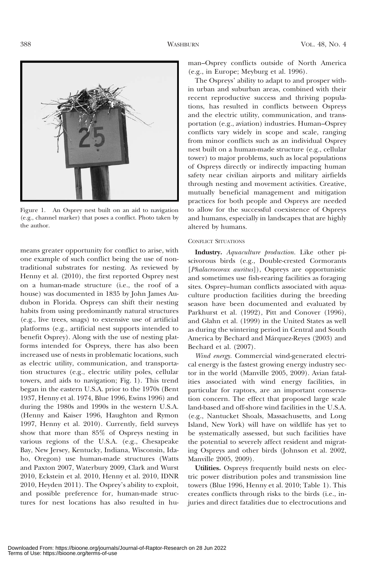

Figure 1. An Osprey nest built on an aid to navigation (e.g., channel marker) that poses a conflict. Photo taken by the author.

means greater opportunity for conflict to arise, with one example of such conflict being the use of nontraditional substrates for nesting. As reviewed by Henny et al. (2010), the first reported Osprey nest on a human-made structure (i.e., the roof of a house) was documented in 1835 by John James Audubon in Florida. Ospreys can shift their nesting habits from using predominantly natural structures (e.g., live trees, snags) to extensive use of artificial platforms (e.g., artificial nest supports intended to benefit Osprey). Along with the use of nesting platforms intended for Ospreys, there has also been increased use of nests in problematic locations, such as electric utility, communication, and transportation structures (e.g., electric utility poles, cellular towers, and aids to navigation; Fig. 1). This trend began in the eastern U.S.A. prior to the 1970s (Bent 1937, Henny et al. 1974, Blue 1996, Ewins 1996) and during the 1980s and 1990s in the western U.S.A. (Henny and Kaiser 1996, Haughton and Rymon 1997, Henny et al. 2010). Currently, field surveys show that more than 85% of Ospreys nesting in various regions of the U.S.A. (e.g., Chesapeake Bay, New Jersey, Kentucky, Indiana, Wisconsin, Idaho, Oregon) use human-made structures (Watts and Paxton 2007, Waterbury 2009, Clark and Wurst 2010, Eckstein et al. 2010, Henny et al. 2010, IDNR 2010, Heyden 2011). The Osprey's ability to exploit, and possible preference for, human-made structures for nest locations has also resulted in human–Osprey conflicts outside of North America (e.g., in Europe; Meyburg et al. 1996).

The Ospreys' ability to adapt to and prosper within urban and suburban areas, combined with their recent reproductive success and thriving populations, has resulted in conflicts between Ospreys and the electric utility, communication, and transportation (e.g., aviation) industries. Human–Osprey conflicts vary widely in scope and scale, ranging from minor conflicts such as an individual Osprey nest built on a human-made structure (e.g., cellular tower) to major problems, such as local populations of Ospreys directly or indirectly impacting human safety near civilian airports and military airfields through nesting and movement activities. Creative, mutually beneficial management and mitigation practices for both people and Ospreys are needed to allow for the successful coexistence of Ospreys and humans, especially in landscapes that are highly altered by humans.

#### CONFLICT SITUATIONS

Industry. Aquaculture production. Like other piscivorous birds (e.g., Double-crested Cormorants [Phalacrocorax auritus]), Ospreys are opportunistic and sometimes use fish-rearing facilities as foraging sites. Osprey–human conflicts associated with aquaculture production facilities during the breeding season have been documented and evaluated by Parkhurst et al. (1992), Pitt and Conover (1996), and Glahn et al. (1999) in the United States as well as during the wintering period in Central and South America by Bechard and Márquez-Reyes (2003) and Bechard et al. (2007).

Wind energy. Commercial wind-generated electrical energy is the fastest growing energy industry sector in the world (Manville 2005, 2009). Avian fatalities associated with wind energy facilities, in particular for raptors, are an important conservation concern. The effect that proposed large scale land-based and off-shore wind facilities in the U.S.A. (e.g., Nantucket Shoals, Massachusetts, and Long Island, New York) will have on wildlife has yet to be systematically assessed, but such facilities have the potential to severely affect resident and migrating Ospreys and other birds (Johnson et al. 2002, Manville 2005, 2009).

Utilities. Ospreys frequently build nests on electric power distribution poles and transmission line towers (Blue 1996, Henny et al. 2010; Table 1). This creates conflicts through risks to the birds (i.e., injuries and direct fatalities due to electrocutions and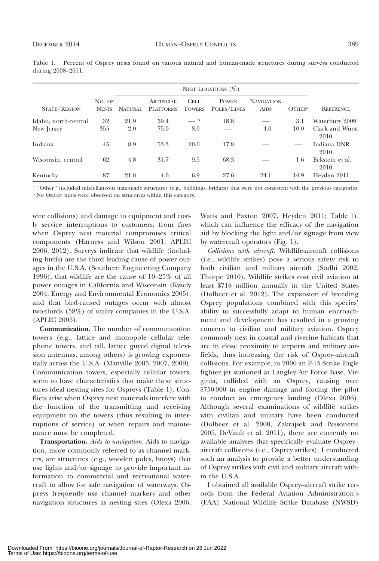|                      | NEST LOCATIONS $(\%)$  |      |                                 |                              |                             |                                  |               |                         |
|----------------------|------------------------|------|---------------------------------|------------------------------|-----------------------------|----------------------------------|---------------|-------------------------|
| STATE/REGION         | No. OF<br><b>NESTS</b> |      | ARTIFICIAL<br>NATURAL PLATFORMS | <b>CELL</b><br><b>TOWERS</b> | <b>POWER</b><br>POLES/LINES | <b>NAVIGATION</b><br><b>AIDS</b> | <b>OTHERa</b> | <b>REFERENCE</b>        |
| Idaho, north-central | 32                     | 21.9 | 59.4                            | $\equiv$ b                   | 18.8                        |                                  | 3.1           | Waterbury 2009          |
| New Jersey           | 355                    | 2.0  | 75.0                            | 8.0                          |                             | 4.0                              | 10.0          | Clark and Wurst<br>2010 |
| Indiana              | 45                     | 8.9  | 53.3                            | 20.0                         | 17.8                        |                                  |               | Indiana DNR<br>2010     |
| Wisconsin, central   | 62                     | 4.8  | 31.7                            | 9.5                          | 68.3                        |                                  | 1.6           | Eckstein et al.<br>2010 |
| Kentucky             | 87                     | 21.8 | 4.6                             | 6.9                          | 27.6                        | 24.1                             | 14.9          | Heyden 2011             |

Table 1. Percent of Osprey nests found on various natural and human-made structures during surveys conducted during 2008–2011.

a "Other" included miscellaneous man-made structures (e.g., buildings, bridges) that were not consistent with the previous categories. <sup>b</sup> No Osprey nests were observed on structures within this category.

wire collisions) and damage to equipment and costly service interruptions to customers, from fires when Osprey nest material compromises critical components (Harness and Wilson 2001, APLIC 2006, 2012). Surveys indicate that wildlife (including birds) are the third leading cause of power outages in the U.S.A. (Southern Engineering Company 1996), that wildlife are the cause of 10–25% of all power outages in California and Wisconsin (Kysely 2004, Energy and Environmental Economics 2005), and that bird-caused outages occur with almost two-thirds (58%) of utility companies in the U.S.A. (APLIC 2005).

Communication. The number of communication towers (e.g., lattice and monopole cellular telephone towers, and tall, lattice guyed digital television antennas, among others) is growing exponentially across the U.S.A. (Manville 2005, 2007, 2009). Communication towers, especially cellular towers, seem to have characteristics that make these structures ideal nesting sites for Ospreys (Table 1). Conflicts arise when Osprey nest materials interfere with the function of the transmitting and receiving equipment on the towers (thus resulting in interruptions of service) or when repairs and maintenance must be completed.

Transportation. Aids to navigation. Aids to navigation, more commonly referred to as channel markers, are structures (e.g., wooden poles, buoys) that use lights and/or signage to provide important information to commercial and recreational watercraft to allow for safe navigation of waterways. Ospreys frequently use channel markers and other navigation structures as nesting sites (Olexa 2006,

Watts and Paxton 2007, Heyden 2011; Table 1), which can influence the efficacy of the navigation aid by blocking the light and/or signage from view by watercraft operators (Fig. 1).

Collisions with aircraft. Wildlife-aircraft collisions (i.e., wildlife strikes) pose a serious safety risk to both civilian and military aircraft (Sodhi 2002, Thorpe 2010). Wildlife strikes cost civil aviation at least \$718 million annually in the United States (Dolbeer et al. 2012). The expansion of breeding Osprey populations combined with this species' ability to successfully adapt to human encroachment and development has resulted in a growing concern to civilian and military aviation. Osprey commonly nest in coastal and riverine habitats that are in close proximity to airports and military airfields, thus increasing the risk of Osprey–aircraft collisions. For example, in 2000 an F-15 Strike Eagle fighter jet stationed at Langley Air Force Base, Virginia, collided with an Osprey, causing over \$750 000 in engine damage and forcing the pilot to conduct an emergency landing (Olexa 2006). Although several examinations of wildlife strikes with civilian and military have been conducted (Dolbeer et al. 2000, Zakrajsek and Bissonette 2005, DeVault et al. 2011), there are currently no available analyses that specifically evaluate Osprey– aircraft collisions (i.e., Osprey strikes). I conducted such an analysis to provide a better understanding of Osprey strikes with civil and military aircraft within the U.S.A.

I obtained all available Osprey–aircraft strike records from the Federal Aviation Administration's (FAA) National Wildlife Strike Database (NWSD)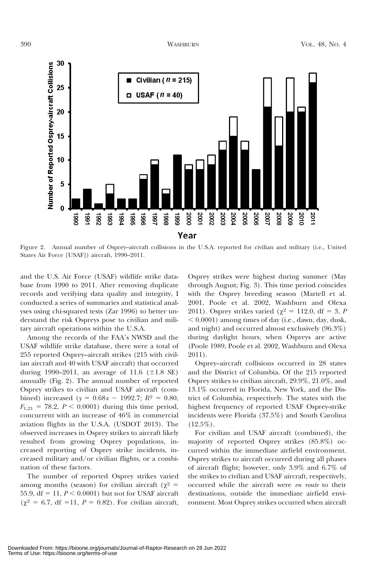

Figure 2. Annual number of Osprey–aircraft collisions in the U.S.A. reported for civilian and military (i.e., United States Air Force [USAF]) aircraft, 1990–2011.

and the U.S. Air Force (USAF) wildlife strike database from 1990 to 2011. After removing duplicate records and verifying data quality and integrity, I conducted a series of summaries and statistical analyses using chi-squared tests (Zar 1996) to better understand the risk Ospreys pose to civilian and military aircraft operations within the U.S.A.

Among the records of the FAA's NWSD and the USAF wildlife strike database, there were a total of 255 reported Osprey–aircraft strikes (215 with civilian aircraft and 40 with USAF aircraft) that occurred during 1990–2011, an average of 11.6  $(\pm 1.8 \text{ SE})$ annually (Fig. 2). The annual number of reported Osprey strikes to civilian and USAF aircraft (combined) increased ( $y = 0.68x - 1992.7$ ;  $R^2 = 0.80$ ,  $F_{1,21} = 78.2, P < 0.0001$  during this time period, concurrent with an increase of 46% in commercial aviation flights in the U.S.A. (USDOT 2013). The observed increases in Osprey strikes to aircraft likely resulted from growing Osprey populations, increased reporting of Osprey strike incidents, increased military and/or civilian flights, or a combination of these factors.

The number of reported Osprey strikes varied among months (season) for civilian aircraft ( $\chi^2$  = 55.9, df = 11,  $P < 0.0001$ ) but not for USAF aircraft  $(\chi^2 = 6.7, df = 11, P = 0.82)$ . For civilian aircraft, Osprey strikes were highest during summer (May through August; Fig. 3). This time period coincides with the Osprey breeding season (Martell et al. 2001, Poole et al. 2002, Washburn and Olexa 2011). Osprey strikes varied ( $\chi^2 = 112.0$ , df = 3, P  $< 0.0001$ ) among times of day (i.e., dawn, day, dusk, and night) and occurred almost exclusively (96.3%) during daylight hours, when Ospreys are active (Poole 1989, Poole et al. 2002, Washburn and Olexa 2011).

Osprey–aircraft collisions occurred in 28 states and the District of Columbia. Of the 215 reported Osprey strikes to civilian aircraft, 29.9%, 21.0%, and 13.1% occurred in Florida, New York, and the District of Columbia, respectively. The states with the highest frequency of reported USAF Osprey-strike incidents were Florida (37.5%) and South Carolina  $(12.5\%)$ .

For civilian and USAF aircraft (combined), the majority of reported Osprey strikes (85.8%) occurred within the immediate airfield environment. Osprey strikes to aircraft occurred during all phases of aircraft flight; however, only 3.9% and 6.7% of the strikes to civilian and USAF aircraft, respectively, occurred while the aircraft were en route to their destinations, outside the immediate airfield environment. Most Osprey strikes occurred when aircraft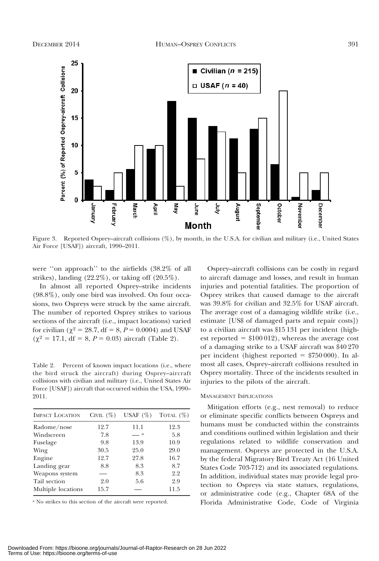

Figure 3. Reported Osprey–aircraft collisions (%), by month, in the U.S.A. for civilian and military (i.e., United States Air Force [USAF]) aircraft, 1990–2011.

were ''on approach'' to the airfields (38.2% of all strikes), landing  $(22.2\%)$ , or taking off  $(20.5\%)$ .

In almost all reported Osprey–strike incidents (98.8%), only one bird was involved. On four occasions, two Ospreys were struck by the same aircraft. The number of reported Osprey strikes to various sections of the aircraft (i.e., impact locations) varied for civilian ( $\chi^2 = 28.7$ , df = 8, P = 0.0004) and USAF  $(\gamma^2 = 17.1, df = 8, P = 0.03)$  aircraft (Table 2).

Table 2. Percent of known impact locations (i.e., where the bird struck the aircraft) during Osprey–aircraft collisions with civilian and military (i.e., United States Air Force [USAF]) aircraft that occurred within the USA, 1990– 2011.

| <b>IMPACT LOCATION</b> | CIVIL $(\%)$ | USAF $(\%)$ | TOTAL $(\%)$ |
|------------------------|--------------|-------------|--------------|
| Radome/nose            | 12.7         | 11.1        | 12.3         |
| Windscreen             | 7.8          | — a         | 5.8          |
| Fuselage               | 9.8          | 13.9        | 10.9         |
| Wing                   | 30.5         | 25.0        | 29.0         |
| Engine                 | 12.7         | 27.8        | 16.7         |
| Landing gear           | 8.8          | 8.3         | 8.7          |
| Weapons system         |              | 8.3         | 2.2          |
| Tail section           | 2.0          | 5.6         | 2.9          |
| Multiple locations     | 15.7         |             | 11.5         |

a No strikes to this section of the aircraft were reported.

Osprey–aircraft collisions can be costly in regard to aircraft damage and losses, and result in human injuries and potential fatalities. The proportion of Osprey strikes that caused damage to the aircraft was 39.8% for civilian and 32.5% for USAF aircraft. The average cost of a damaging wildlife strike (i.e., estimate [US\$ of damaged parts and repair costs]) to a civilian aircraft was \$15 131 per incident (highest reported  $= $100 012$ , whereas the average cost of a damaging strike to a USAF aircraft was \$40 270 per incident (highest reported  $= $750 000$ ). In almost all cases, Osprey–aircraft collisions resulted in Osprey mortality. Three of the incidents resulted in injuries to the pilots of the aircraft.

## MANAGEMENT IMPLICATIONS

Mitigation efforts (e.g., nest removal) to reduce or eliminate specific conflicts between Ospreys and humans must be conducted within the constraints and conditions outlined within legislation and their regulations related to wildlife conservation and management. Ospreys are protected in the U.S.A. by the federal Migratory Bird Treaty Act (16 United States Code 703-712) and its associated regulations. In addition, individual states may provide legal protection to Ospreys via state statues, regulations, or administrative code (e.g., Chapter 68A of the Florida Administrative Code, Code of Virginia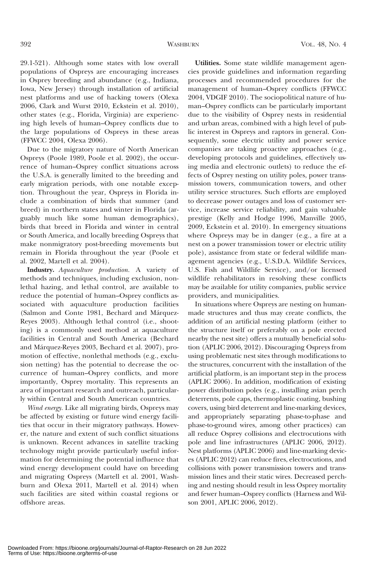29.1-521). Although some states with low overall populations of Ospreys are encouraging increases in Osprey breeding and abundance (e.g., Indiana, Iowa, New Jersey) through installation of artificial nest platforms and use of hacking towers (Olexa 2006, Clark and Wurst 2010, Eckstein et al. 2010), other states (e.g., Florida, Virginia) are experiencing high levels of human–Osprey conflicts due to the large populations of Ospreys in these areas (FFWCC 2004, Olexa 2006).

Due to the migratory nature of North American Ospreys (Poole 1989, Poole et al. 2002), the occurrence of human–Osprey conflict situations across the U.S.A. is generally limited to the breeding and early migration periods, with one notable exception. Throughout the year, Ospreys in Florida include a combination of birds that summer (and breed) in northern states and winter in Florida (arguably much like some human demographics), birds that breed in Florida and winter in central or South America, and locally breeding Ospreys that make nonmigratory post-breeding movements but remain in Florida throughout the year (Poole et al. 2002, Martell et al. 2004).

Industry. Aquaculture production. A variety of methods and techniques, including exclusion, nonlethal hazing, and lethal control, are available to reduce the potential of human–Osprey conflicts associated with aquaculture production facilities (Salmon and Conte 1981, Bechard and Márquez-Reyes 2003). Although lethal control (i.e., shooting) is a commonly used method at aquaculture facilities in Central and South America (Bechard and Ma´rquez-Reyes 2003, Bechard et al. 2007), promotion of effective, nonlethal methods (e.g., exclusion netting) has the potential to decrease the occurrence of human–Osprey conflicts, and more importantly, Osprey mortality. This represents an area of important research and outreach, particularly within Central and South American countries.

Wind energy. Like all migrating birds, Ospreys may be affected by existing or future wind energy facilities that occur in their migratory pathways. However, the nature and extent of such conflict situations is unknown. Recent advances in satellite tracking technology might provide particularly useful information for determining the potential influence that wind energy development could have on breeding and migrating Ospreys (Martell et al. 2001, Washburn and Olexa 2011, Martell et al. 2014) when such facilities are sited within coastal regions or offshore areas.

Utilities. Some state wildlife management agencies provide guidelines and information regarding processes and recommended procedures for the management of human–Osprey conflicts (FFWCC 2004, VDGIF 2010). The sociopolitical nature of human–Osprey conflicts can be particularly important due to the visibility of Osprey nests in residential and urban areas, combined with a high level of public interest in Ospreys and raptors in general. Consequently, some electric utility and power service companies are taking proactive approaches (e.g., developing protocols and guidelines, effectively using media and electronic outlets) to reduce the effects of Osprey nesting on utility poles, power transmission towers, communication towers, and other utility service structures. Such efforts are employed to decrease power outages and loss of customer service, increase service reliability, and gain valuable prestige (Kelly and Hodge 1996, Manville 2005, 2009, Eckstein et al. 2010). In emergency situations where Ospreys may be in danger (e.g., a fire at a nest on a power transmission tower or electric utility pole), assistance from state or federal wildlife management agencies (e.g., U.S.D.A. Wildlife Services, U.S. Fish and Wildlife Service), and/or licensed wildlife rehabilitators in resolving these conflicts may be available for utility companies, public service providers, and municipalities.

In situations where Ospreys are nesting on humanmade structures and thus may create conflicts, the addition of an artificial nesting platform (either to the structure itself or preferably on a pole erected nearby the nest site) offers a mutually beneficial solution (APLIC 2006, 2012). Discouraging Ospreys from using problematic nest sites through modifications to the structures, concurrent with the installation of the artificial platform, is an important step in the process (APLIC 2006). In addition, modification of existing power distribution poles (e.g., installing avian perch deterrents, pole caps, thermoplastic coating, bushing covers, using bird deterrent and line-marking devices, and appropriately separating phase-to-phase and phase-to-ground wires, among other practices) can all reduce Osprey collisions and electrocutions with pole and line infrastructures (APLIC 2006, 2012). Nest platforms (APLIC 2006) and line-marking devices (APLIC 2012) can reduce fires, electrocutions, and collisions with power transmission towers and transmission lines and their static wires. Decreased perching and nesting should result in less Osprey mortality and fewer human–Osprey conflicts (Harness and Wilson 2001, APLIC 2006, 2012).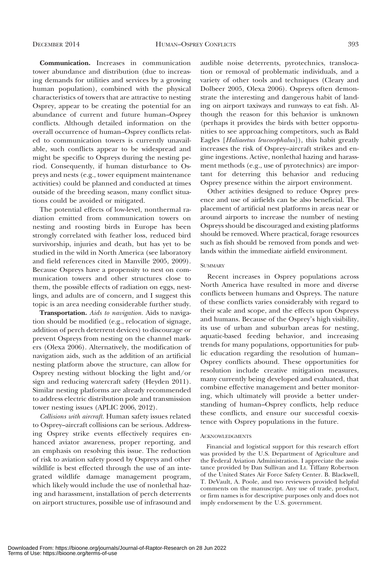Communication. Increases in communication tower abundance and distribution (due to increasing demands for utilities and services by a growing human population), combined with the physical characteristics of towers that are attractive to nesting Osprey, appear to be creating the potential for an abundance of current and future human–Osprey conflicts. Although detailed information on the overall occurrence of human–Osprey conflicts related to communication towers is currently unavailable, such conflicts appear to be widespread and might be specific to Ospreys during the nesting period. Consequently, if human disturbance to Ospreys and nests (e.g., tower equipment maintenance activities) could be planned and conducted at times outside of the breeding season, many conflict situations could be avoided or mitigated.

The potential effects of low-level, nonthermal radiation emitted from communication towers on nesting and roosting birds in Europe has been strongly correlated with feather loss, reduced bird survivorship, injuries and death, but has yet to be studied in the wild in North America (see laboratory and field references cited in Manville 2005, 2009). Because Ospreys have a propensity to nest on communication towers and other structures close to them, the possible effects of radiation on eggs, nestlings, and adults are of concern, and I suggest this topic is an area needing considerable further study.

Transportation. Aids to navigation. Aids to navigation should be modified (e.g., relocation of signage, addition of perch deterrent devices) to discourage or prevent Ospreys from nesting on the channel markers (Olexa 2006). Alternatively, the modification of navigation aids, such as the addition of an artificial nesting platform above the structure, can allow for Osprey nesting without blocking the light and/or sign and reducing watercraft safety (Heyden 2011). Similar nesting platforms are already recommended to address electric distribution pole and transmission tower nesting issues (APLIC 2006, 2012).

Collisions with aircraft. Human safety issues related to Osprey–aircraft collisions can be serious. Addressing Osprey strike events effectively requires enhanced aviator awareness, proper reporting, and an emphasis on resolving this issue. The reduction of risk to aviation safety posed by Ospreys and other wildlife is best effected through the use of an integrated wildlife damage management program, which likely would include the use of nonlethal hazing and harassment, installation of perch deterrents on airport structures, possible use of infrasound and audible noise deterrents, pyrotechnics, translocation or removal of problematic individuals, and a variety of other tools and techniques (Cleary and Dolbeer 2005, Olexa 2006). Ospreys often demonstrate the interesting and dangerous habit of landing on airport taxiways and runways to eat fish. Although the reason for this behavior is unknown (perhaps it provides the birds with better opportunities to see approaching competitors, such as Bald Eagles [Haliaeetus leucocephalus]), this habit greatly increases the risk of Osprey–aircraft strikes and engine ingestions. Active, nonlethal hazing and harassment methods (e.g., use of pyrotechnics) are important for deterring this behavior and reducing Osprey presence within the airport environment.

Other activities designed to reduce Osprey presence and use of airfields can be also beneficial. The placement of artificial nest platforms in areas near or around airports to increase the number of nesting Ospreys should be discouraged and existing platforms should be removed. Where practical, forage resources such as fish should be removed from ponds and wetlands within the immediate airfield environment.

#### **SUMMARY**

Recent increases in Osprey populations across North America have resulted in more and diverse conflicts between humans and Ospreys. The nature of these conflicts varies considerably with regard to their scale and scope, and the effects upon Ospreys and humans. Because of the Osprey's high visibility, its use of urban and suburban areas for nesting, aquatic-based feeding behavior, and increasing trends for many populations, opportunities for public education regarding the resolution of human– Osprey conflicts abound. These opportunities for resolution include creative mitigation measures, many currently being developed and evaluated, that combine effective management and better monitoring, which ultimately will provide a better understanding of human–Osprey conflicts, help reduce these conflicts, and ensure our successful coexistence with Osprey populations in the future.

#### ACKNOWLEDGMENTS

Financial and logistical support for this research effort was provided by the U.S. Department of Agriculture and the Federal Aviation Administration. I appreciate the assistance provided by Dan Sullivan and Lt. Tiffany Robertson of the United States Air Force Safety Center. B. Blackwell, T. DeVault, A. Poole, and two reviewers provided helpful comments on the manuscript. Any use of trade, product, or firm names is for descriptive purposes only and does not imply endorsement by the U.S. government.

Terms of Use: https://bioone.org/terms-of-use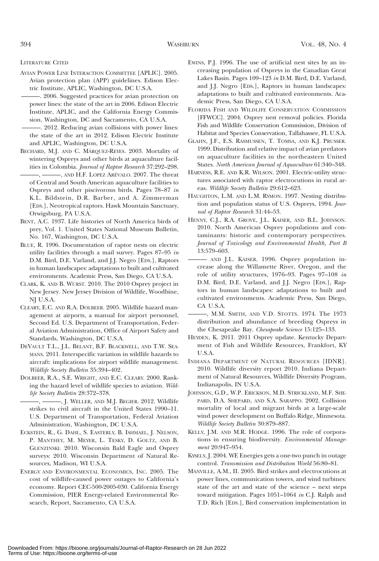LITERATURE CITED

- AVIAN POWER LINE INTERACTION COMMITTEE [APLIC]. 2005. Avian protection plan (APP) guidelines. Edison Electric Institute, APLIC, Washington, DC U.S.A.
	- ———. 2006. Suggested practices for avian protection on power lines: the state of the art in 2006. Edison Electric Institute, APLIC, and the California Energy Commission, Washington, DC and Sacramento, CA U.S.A.
	- ———. 2012. Reducing avian collisions with power lines: the state of the art in 2012. Edison Electric Institute and APLIC, Washington, DC U.S.A.
- BECHARD, M.J. AND C. MÁRQUEZ-REYES. 2003. Mortality of wintering Ospreys and other birds at aquaculture facilities in Colombia. Journal of Raptor Research 37:292–298.
	- -, AND H.F. LOPEZ ARÉVALO. 2007. The threat of Central and South American aquaculture facilities to Ospreys and other piscivorous birds. Pages 78–87 in K.L. Bildstein, D.R. Barber, and A. Zimmerman [EDS.], Neotropical raptors. Hawk Mountain Sanctuary, Orwigsburg, PA U.S.A.
- BENT, A.C. 1937. Life histories of North America birds of prey, Vol. 1. United States National Museum Bulletin, No. 167, Washington, DC U.S.A.
- BLUE, R. 1996. Documentation of raptor nests on electric utility facilities through a mail survey. Pages 87–95 in D.M. Bird, D.E. Varland, and J.J. Negro [EDS.], Raptors in human landscapes: adaptations to built and cultivated environments. Academic Press, San Diego, CA U.S.A.
- CLARK, K. AND B. WURST. 2010. The 2010 Osprey project in New Jersey. New Jersey Division of Wildlife, Woodbine, NJ U.S.A.
- CLEARY, E.C. AND R.A. DOLBEER. 2005. Wildlife hazard management at airports, a manual for airport personnel, Second Ed. U.S. Department of Transportation, Federal Aviation Administration, Office of Airport Safety and Standards, Washington, DC U.S.A.
- DEVAULT T.L., J.L. BELANT, B.F. BLACKWELL, AND T.W. SEA-MANS. 2011. Interspecific variation in wildlife hazards to aircraft: implications for airport wildlife management. Wildlife Society Bulletin 35:394–402.
- DOLBEER, R.A., S.E. WRIGHT, AND E.C. CLEARY. 2000. Ranking the hazard level of wildlife species to aviation. Wildlife Society Bulletin 28:372–378.
- -, J. WELLER, AND M.J. BEGIER. 2012. Wildlife strikes to civil aircraft in the United States 1990–11. U.S. Department of Transportation, Federal Aviation Administration, Washington, DC U.S.A.
- ECKSTEIN, R., G. DAHL, S. EASTERLY, B. ISHMAEL, J. NELSON, P. MANTHEY, M. MEYER, L. TESKY, D. GOLTZ, AND B. GLENZINSKI. 2010. Wisconsin Bald Eagle and Osprey surveys: 2010. Wisconsin Department of Natural Resources, Madison, WI U.S.A.
- ENERGY AND ENVIRONMENTAL ECONOMICS, INC. 2005. The cost of wildlife-caused power outages to California's economy. Report CEC-500-2005-030. California Energy Commission, PIER Energy-related Environmental Research, Report, Sacramento, CA U.S.A.
- EWINS, P.J. 1996. The use of artificial nest sites by an increasing population of Ospreys in the Canadian Great Lakes Basin. Pages 109–123 in D.M. Bird, D.E. Varland, and J.J. Negro [EDS.], Raptors in human landscapes: adaptations to built and cultivated environments. Academic Press, San Diego, CA U.S.A.
- FLORIDA FISH AND WILDLIFE CONSERVATION COMMISSION [FFWCC]. 2004. Osprey nest removal policies. Florida Fish and Wildlife Conservation Commission, Division of Habitat and Species Conservation, Tallahassee, FL U.S.A.
- GLAHN, J.F., E.S. RASMUSSEN, T. TOMSA, AND K.J. PRUSSER. 1999. Distribution and relative impact of avian predators on aquaculture facilities in the northeastern United States. North American Journal of Aquaculture 61:340–348.
- HARNESS, R.E. AND K.R. WILSON. 2001. Electric-utility structures associated with raptor electrocutions in rural areas. Wildlife Society Bulletin 29:612–623.
- HAUGHTON, L.M. AND L.M. RYMON. 1997. Nesting distribution and population status of U.S. Ospreys, 1994. Journal of Raptor Research 31:44–53.
- HENNY, C.J., R.A. GROVE, J.L. KAISER, AND B.L. JOHNSON. 2010. North American Osprey populations and contaminants: historic and contemporary perspectives. Journal of Toxicology and Environmental Health, Part B 13:579–603.
- ——— AND J.L. KAISER. 1996. Osprey population increase along the Willamette River, Oregon, and the role of utility structures, 1976–93. Pages 97–108 in D.M. Bird, D.E. Varland, and J.J. Negro [EDS.], Raptors in human landscapes: adaptations to built and cultivated environments. Academic Press, San Diego, CA U.S.A.
- ———, M.M. SMITH, AND V.D. STOTTS. 1974. The 1973 distribution and abundance of breeding Ospreys in the Chesapeake Bay. Chesapeake Science 15:125–133.
- HEYDEN, K. 2011. 2011 Osprey update. Kentucky Department of Fish and Wildlife Resources, Frankfort, KY U.S.A.
- INDIANA DEPARTMENT OF NATURAL RESOURCES [IDNR]. 2010. Wildlife diversity report 2010. Indiana Department of Natural Resources, Wildlife Diversity Program, Indianapolis, IN U.S.A.
- JOHNSON, G.D., W.P. ERICKSON, M.D. STRICKLAND, M.F. SHE-PARD, D.A. SHEPARD, AND S.A. SARAPPO. 2002. Collision mortality of local and migrant birds at a large-scale wind power development on Buffalo Ridge, Minnesota. Wildlife Society Bulletin 30:879–887.
- KELLY, J.M. AND M.R. HODGE. 1996. The role of corporations in ensuring biodiversity. Environmental Management 20:947–954.
- KYSELY, J. 2004. WE Energies gets a one-two punch in outage control. Transmission and Distribution World 56:80–81.
- MANVILLE, A.M., II. 2005. Bird strikes and electrocutions at power lines, communication towers, and wind turbines: state of the art and state of the science – next steps toward mitigation. Pages 1051–1064 in C.J. Ralph and T.D. Rich [EDS.], Bird conservation implementation in